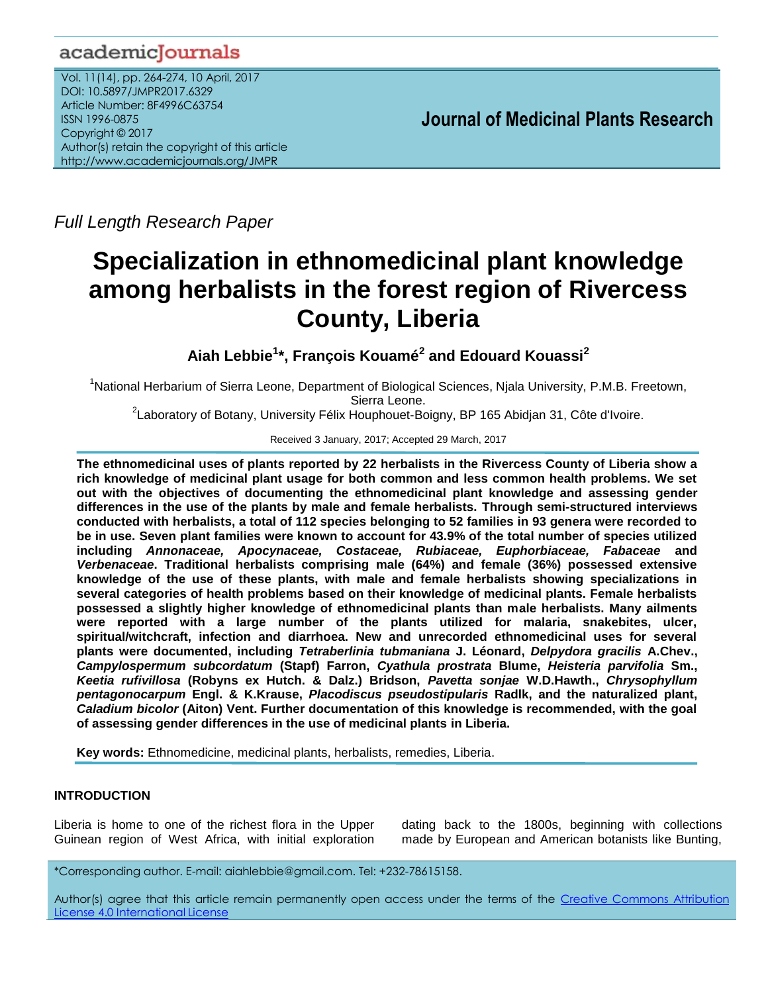# academicJournals

Vol. 11(14), pp. 264-274, 10 April, 2017 DOI: 10.5897/JMPR2017.6329 Article Number: 8F4996C63754 ISSN 1996-0875 Copyright © 2017 Author(s) retain the copyright of this article http://www.academicjournals.org/JMPR

 **Journal of Medicinal Plants Research**

*Full Length Research Paper* 

# **Specialization in ethnomedicinal plant knowledge among herbalists in the forest region of Rivercess County, Liberia**

**Aiah Lebbie<sup>1</sup> \*, François Kouamé<sup>2</sup> and Edouard Kouassi<sup>2</sup>**

<sup>1</sup>National Herbarium of Sierra Leone, Department of Biological Sciences, Njala University, P.M.B. Freetown, Sierra Leone.

<sup>2</sup>Laboratory of Botany, University Félix Houphouet-Boigny, BP 165 Abidjan 31, Côte d'Ivoire.

Received 3 January, 2017; Accepted 29 March, 2017

**The ethnomedicinal uses of plants reported by 22 herbalists in the Rivercess County of Liberia show a rich knowledge of medicinal plant usage for both common and less common health problems. We set out with the objectives of documenting the ethnomedicinal plant knowledge and assessing gender differences in the use of the plants by male and female herbalists. Through semi-structured interviews conducted with herbalists, a total of 112 species belonging to 52 families in 93 genera were recorded to be in use. Seven plant families were known to account for 43.9% of the total number of species utilized including** *Annonaceae, Apocynaceae, Costaceae, Rubiaceae, Euphorbiaceae, Fabaceae* **and** *Verbenaceae***. Traditional herbalists comprising male (64%) and female (36%) possessed extensive knowledge of the use of these plants, with male and female herbalists showing specializations in several categories of health problems based on their knowledge of medicinal plants. Female herbalists possessed a slightly higher knowledge of ethnomedicinal plants than male herbalists. Many ailments were reported with a large number of the plants utilized for malaria, snakebites, ulcer, spiritual/witchcraft, infection and diarrhoea. New and unrecorded ethnomedicinal uses for several plants were documented, including** *Tetraberlinia tubmaniana* **J. Léonard,** *Delpydora gracilis* **A.Chev.,**  *Campylospermum subcordatum* **(Stapf) Farron,** *Cyathula prostrata* **Blume,** *Heisteria parvifolia* **Sm.,** *Keetia rufivillosa* **(Robyns ex Hutch. & Dalz.) Bridson,** *Pavetta sonjae* **W.D.Hawth.,** *Chrysophyllum pentagonocarpum* **Engl. & K.Krause,** *Placodiscus pseudostipularis* **Radlk, and the naturalized plant,**  *Caladium bicolor* **(Aiton) Vent. Further documentation of this knowledge is recommended, with the goal of assessing gender differences in the use of medicinal plants in Liberia.**

**Key words:** Ethnomedicine, medicinal plants, herbalists, remedies, Liberia.

# **INTRODUCTION**

Liberia is home to one of the richest flora in the Upper Guinean region of West Africa, with initial exploration

dating back to the 1800s, beginning with collections made by European and American botanists like Bunting,

\*Corresponding author. E-mail: aiahlebbie@gmail.com. Tel: +232-78615158.

Author(s) agree that this article remain permanently open access under the terms of the Creative Commons [Attribution](http://creativecommons.org/licenses/by/4.0/deed.en_US)  License 4.0 [International](http://creativecommons.org/licenses/by/4.0/deed.en_US) License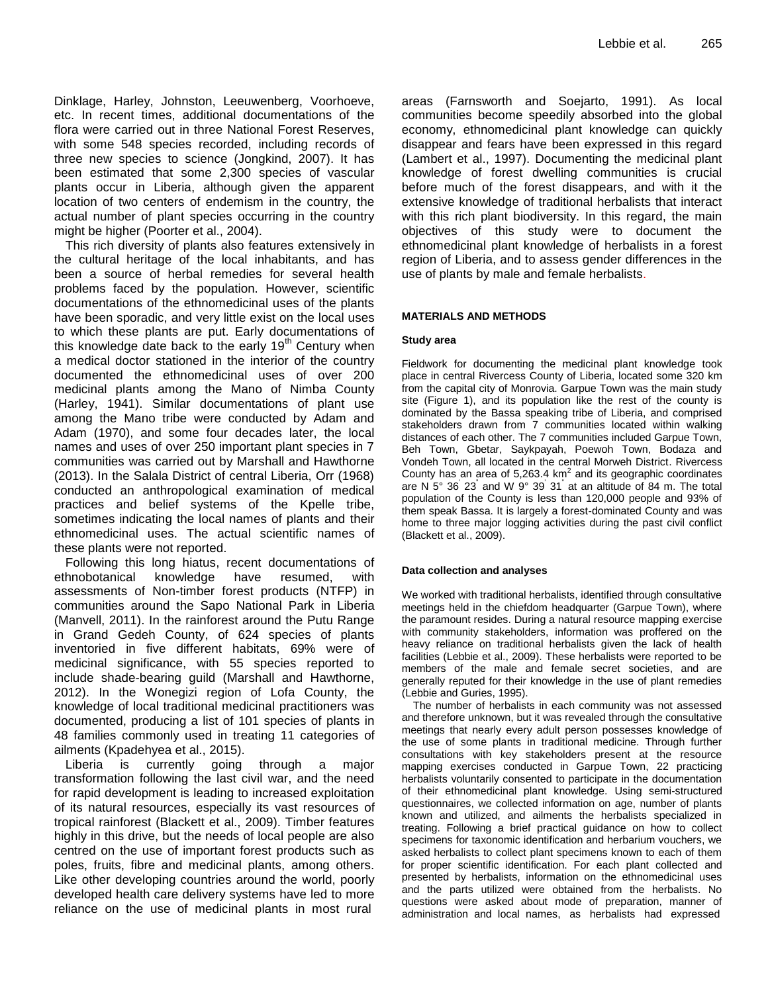Dinklage, Harley, Johnston, Leeuwenberg, Voorhoeve, etc. In recent times, additional documentations of the flora were carried out in three National Forest Reserves, with some 548 species recorded, including records of three new species to science (Jongkind, 2007). It has been estimated that some 2,300 species of vascular plants occur in Liberia, although given the apparent location of two centers of endemism in the country, the actual number of plant species occurring in the country might be higher (Poorter et al., 2004).

This rich diversity of plants also features extensively in the cultural heritage of the local inhabitants, and has been a source of herbal remedies for several health problems faced by the population. However, scientific documentations of the ethnomedicinal uses of the plants have been sporadic, and very little exist on the local uses to which these plants are put. Early documentations of this knowledge date back to the early  $19<sup>th</sup>$  Century when a medical doctor stationed in the interior of the country documented the ethnomedicinal uses of over 200 medicinal plants among the Mano of Nimba County (Harley, 1941). Similar documentations of plant use among the Mano tribe were conducted by Adam and Adam (1970), and some four decades later, the local names and uses of over 250 important plant species in 7 communities was carried out by Marshall and Hawthorne (2013). In the Salala District of central Liberia, Orr (1968) conducted an anthropological examination of medical practices and belief systems of the Kpelle tribe, sometimes indicating the local names of plants and their ethnomedicinal uses. The actual scientific names of these plants were not reported.

Following this long hiatus, recent documentations of ethnobotanical knowledge have resumed, with assessments of Non-timber forest products (NTFP) in communities around the Sapo National Park in Liberia (Manvell, 2011). In the rainforest around the Putu Range in Grand Gedeh County, of 624 species of plants inventoried in five different habitats, 69% were of medicinal significance, with 55 species reported to include shade-bearing guild (Marshall and Hawthorne, 2012). In the Wonegizi region of Lofa County, the knowledge of local traditional medicinal practitioners was documented, producing a list of 101 species of plants in 48 families commonly used in treating 11 categories of ailments (Kpadehyea et al., 2015).

Liberia is currently going through a major transformation following the last civil war, and the need for rapid development is leading to increased exploitation of its natural resources, especially its vast resources of tropical rainforest (Blackett et al., 2009). Timber features highly in this drive, but the needs of local people are also centred on the use of important forest products such as poles, fruits, fibre and medicinal plants, among others. Like other developing countries around the world, poorly developed health care delivery systems have led to more reliance on the use of medicinal plants in most rural

areas (Farnsworth and Soejarto, 1991). As local communities become speedily absorbed into the global economy, ethnomedicinal plant knowledge can quickly disappear and fears have been expressed in this regard (Lambert et al., 1997). Documenting the medicinal plant knowledge of forest dwelling communities is crucial before much of the forest disappears, and with it the extensive knowledge of traditional herbalists that interact with this rich plant biodiversity. In this regard, the main objectives of this study were to document the ethnomedicinal plant knowledge of herbalists in a forest region of Liberia, and to assess gender differences in the use of plants by male and female herbalists.

#### **MATERIALS AND METHODS**

#### **Study area**

Fieldwork for documenting the medicinal plant knowledge took place in central Rivercess County of Liberia, located some 320 km from the capital city of Monrovia. Garpue Town was the main study site (Figure 1), and its population like the rest of the county is dominated by the Bassa speaking tribe of Liberia, and comprised stakeholders drawn from 7 communities located within walking distances of each other. The 7 communities included Garpue Town, Beh Town, Gbetar, Saykpayah, Poewoh Town, Bodaza and Vondeh Town, all located in the central Morweh District. Rivercess County has an area of  $5,263.4 \text{ km}^2$  and its geographic coordinates are N 5° 36' 23" and W 9° 39' 31" at an altitude of 84 m. The total population of the County is less than 120,000 people and 93% of them speak Bassa. It is largely a forest-dominated County and was home to three major logging activities during the past civil conflict (Blackett et al., 2009).

#### **Data collection and analyses**

We worked with traditional herbalists, identified through consultative meetings held in the chiefdom headquarter (Garpue Town), where the paramount resides. During a natural resource mapping exercise with community stakeholders, information was proffered on the heavy reliance on traditional herbalists given the lack of health facilities (Lebbie et al., 2009). These herbalists were reported to be members of the male and female secret societies, and are generally reputed for their knowledge in the use of plant remedies (Lebbie and Guries, 1995).

The number of herbalists in each community was not assessed and therefore unknown, but it was revealed through the consultative meetings that nearly every adult person possesses knowledge of the use of some plants in traditional medicine. Through further consultations with key stakeholders present at the resource mapping exercises conducted in Garpue Town, 22 practicing herbalists voluntarily consented to participate in the documentation of their ethnomedicinal plant knowledge. Using semi-structured questionnaires, we collected information on age, number of plants known and utilized, and ailments the herbalists specialized in treating. Following a brief practical guidance on how to collect specimens for taxonomic identification and herbarium vouchers, we asked herbalists to collect plant specimens known to each of them for proper scientific identification. For each plant collected and presented by herbalists, information on the ethnomedicinal uses and the parts utilized were obtained from the herbalists. No questions were asked about mode of preparation, manner of administration and local names, as herbalists had expressed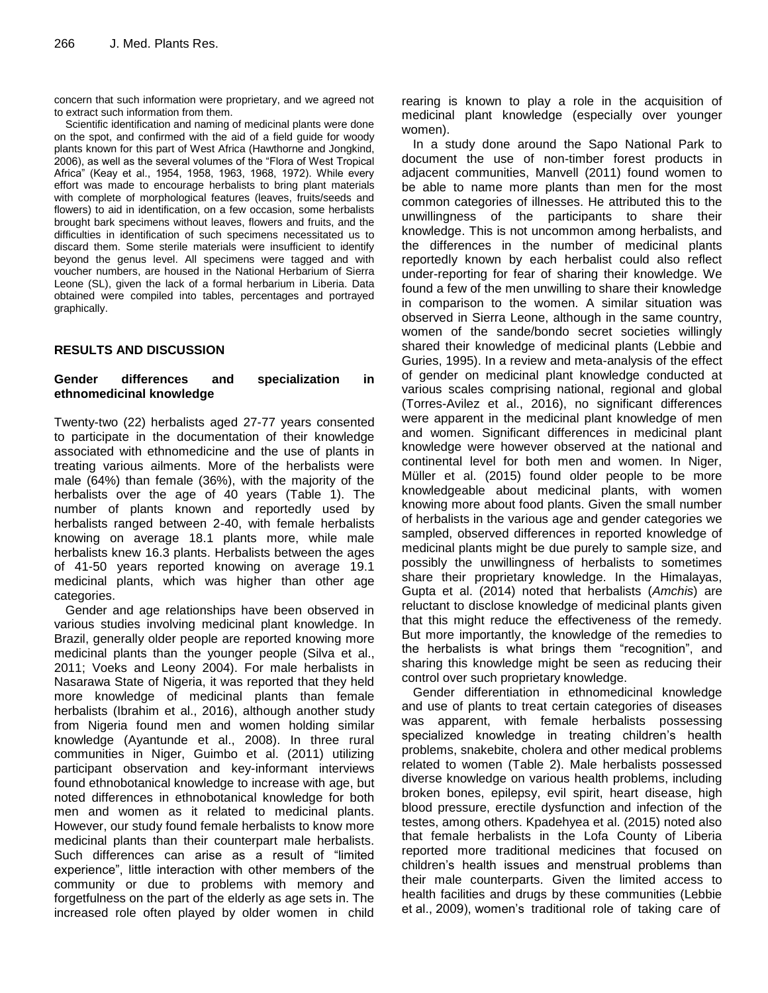concern that such information were proprietary, and we agreed not to extract such information from them.

Scientific identification and naming of medicinal plants were done on the spot, and confirmed with the aid of a field guide for woody plants known for this part of West Africa (Hawthorne and Jongkind, 2006), as well as the several volumes of the "Flora of West Tropical Africa" (Keay et al., 1954, 1958, 1963, 1968, 1972). While every effort was made to encourage herbalists to bring plant materials with complete of morphological features (leaves, fruits/seeds and flowers) to aid in identification, on a few occasion, some herbalists brought bark specimens without leaves, flowers and fruits, and the difficulties in identification of such specimens necessitated us to discard them. Some sterile materials were insufficient to identify beyond the genus level. All specimens were tagged and with voucher numbers, are housed in the National Herbarium of Sierra Leone (SL), given the lack of a formal herbarium in Liberia. Data obtained were compiled into tables, percentages and portrayed graphically.

#### **RESULTS AND DISCUSSION**

#### **Gender differences and specialization in ethnomedicinal knowledge**

Twenty-two (22) herbalists aged 27-77 years consented to participate in the documentation of their knowledge associated with ethnomedicine and the use of plants in treating various ailments. More of the herbalists were male (64%) than female (36%), with the majority of the herbalists over the age of 40 years (Table 1). The number of plants known and reportedly used by herbalists ranged between 2-40, with female herbalists knowing on average 18.1 plants more, while male herbalists knew 16.3 plants. Herbalists between the ages of 41-50 years reported knowing on average 19.1 medicinal plants, which was higher than other age categories.

Gender and age relationships have been observed in various studies involving medicinal plant knowledge. In Brazil, generally older people are reported knowing more medicinal plants than the younger people (Silva et al., 2011; Voeks and Leony 2004). For male herbalists in Nasarawa State of Nigeria, it was reported that they held more knowledge of medicinal plants than female herbalists (Ibrahim et al., 2016), although another study from Nigeria found men and women holding similar knowledge (Ayantunde et al., 2008). In three rural communities in Niger, Guimbo et al. (2011) utilizing participant observation and key-informant interviews found ethnobotanical knowledge to increase with age, but noted differences in ethnobotanical knowledge for both men and women as it related to medicinal plants. However, our study found female herbalists to know more medicinal plants than their counterpart male herbalists. Such differences can arise as a result of "limited experience", little interaction with other members of the community or due to problems with memory and forgetfulness on the part of the elderly as age sets in. The increased role often played by older women in child rearing is known to play a role in the acquisition of medicinal plant knowledge (especially over younger women).

In a study done around the Sapo National Park to document the use of non-timber forest products in adjacent communities, Manvell (2011) found women to be able to name more plants than men for the most common categories of illnesses. He attributed this to the unwillingness of the participants to share their knowledge. This is not uncommon among herbalists, and the differences in the number of medicinal plants reportedly known by each herbalist could also reflect under-reporting for fear of sharing their knowledge. We found a few of the men unwilling to share their knowledge in comparison to the women. A similar situation was observed in Sierra Leone, although in the same country, women of the sande/bondo secret societies willingly shared their knowledge of medicinal plants (Lebbie and Guries, 1995). In a review and meta-analysis of the effect of gender on medicinal plant knowledge conducted at various scales comprising national, regional and global (Torres-Avilez et al., 2016), no significant differences were apparent in the medicinal plant knowledge of men and women. Significant differences in medicinal plant knowledge were however observed at the national and continental level for both men and women. In Niger, Müller et al. (2015) found older people to be more knowledgeable about medicinal plants, with women knowing more about food plants. Given the small number of herbalists in the various age and gender categories we sampled, observed differences in reported knowledge of medicinal plants might be due purely to sample size, and possibly the unwillingness of herbalists to sometimes share their proprietary knowledge. In the Himalayas, Gupta et al. (2014) noted that herbalists (*Amchis*) are reluctant to disclose knowledge of medicinal plants given that this might reduce the effectiveness of the remedy. But more importantly, the knowledge of the remedies to the herbalists is what brings them "recognition", and sharing this knowledge might be seen as reducing their control over such proprietary knowledge.

Gender differentiation in ethnomedicinal knowledge and use of plants to treat certain categories of diseases was apparent, with female herbalists possessing specialized knowledge in treating children's health problems, snakebite, cholera and other medical problems related to women (Table 2). Male herbalists possessed diverse knowledge on various health problems, including broken bones, epilepsy, evil spirit, heart disease, high blood pressure, erectile dysfunction and infection of the testes, among others. Kpadehyea et al. (2015) noted also that female herbalists in the Lofa County of Liberia reported more traditional medicines that focused on children's health issues and menstrual problems than their male counterparts. Given the limited access to health facilities and drugs by these communities (Lebbie et al., 2009), women's traditional role of taking care of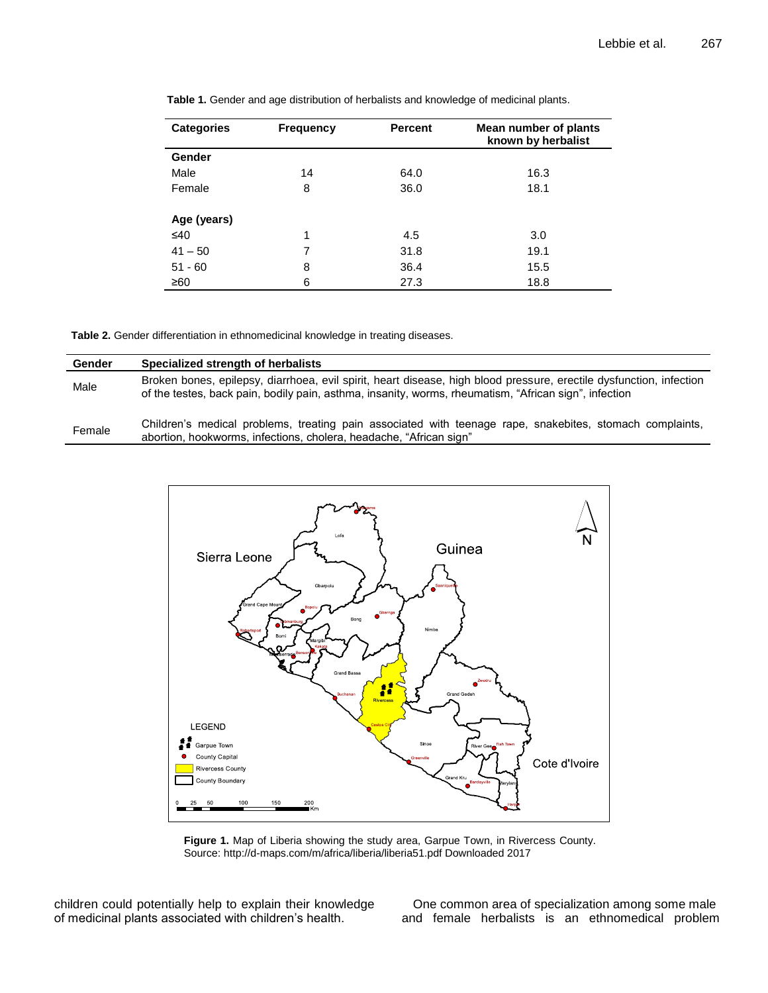| <b>Categories</b> | <b>Frequency</b> | <b>Percent</b> | Mean number of plants<br>known by herbalist |
|-------------------|------------------|----------------|---------------------------------------------|
| Gender            |                  |                |                                             |
| Male              | 14               | 64.0           | 16.3                                        |
| Female            | 8                | 36.0           | 18.1                                        |
| Age (years)       |                  |                |                                             |
| ≤40               | 1                | 4.5            | 3.0                                         |
| $41 - 50$         | 7                | 31.8           | 19.1                                        |
| $51 - 60$         | 8                | 36.4           | 15.5                                        |
| ≥60               | 6                | 27.3           | 18.8                                        |

**Table 1.** Gender and age distribution of herbalists and knowledge of medicinal plants.

**Table 2.** Gender differentiation in ethnomedicinal knowledge in treating diseases.

| Gender | Specialized strength of herbalists                                                                                                                                                                                           |
|--------|------------------------------------------------------------------------------------------------------------------------------------------------------------------------------------------------------------------------------|
| Male   | Broken bones, epilepsy, diarrhoea, evil spirit, heart disease, high blood pressure, erectile dysfunction, infection<br>of the testes, back pain, bodily pain, asthma, insanity, worms, rheumatism, "African sign", infection |
| Female | Children's medical problems, treating pain associated with teenage rape, snakebites, stomach complaints,<br>abortion, hookworms, infections, cholera, headache, "African sign"                                               |



**Figure 1.** Map of Liberia showing the study area, Garpue Town, in Rivercess County. Source: http://d-maps.com/m/africa/liberia/liberia51.pdf Downloaded 2017

children could potentially help to explain their knowledge of medicinal plants associated with children's health.

One common area of specialization among some male and female herbalists is an ethnomedical problem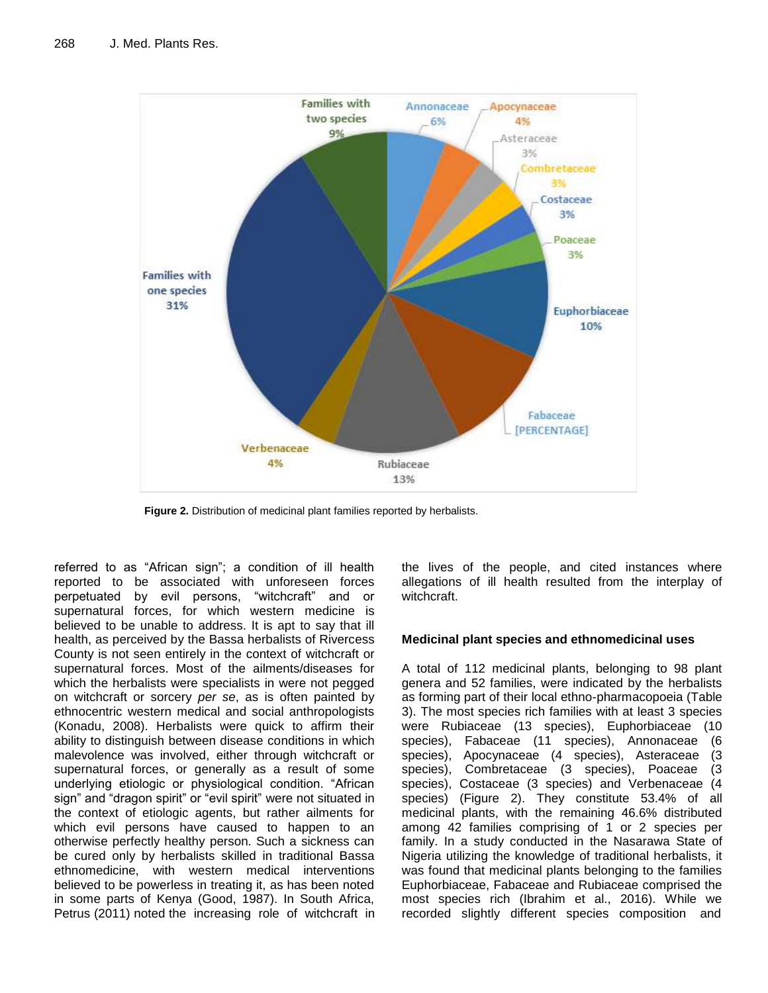

**Figure 2.** Distribution of medicinal plant families reported by herbalists.

referred to as "African sign"; a condition of ill health reported to be associated with unforeseen forces perpetuated by evil persons, "witchcraft" and or supernatural forces, for which western medicine is believed to be unable to address. It is apt to say that ill health, as perceived by the Bassa herbalists of Rivercess County is not seen entirely in the context of witchcraft or supernatural forces. Most of the ailments/diseases for which the herbalists were specialists in were not pegged on witchcraft or sorcery *per se*, as is often painted by ethnocentric western medical and social anthropologists (Konadu, 2008). Herbalists were quick to affirm their ability to distinguish between disease conditions in which malevolence was involved, either through witchcraft or supernatural forces, or generally as a result of some underlying etiologic or physiological condition. "African sign" and "dragon spirit" or "evil spirit" were not situated in the context of etiologic agents, but rather ailments for which evil persons have caused to happen to an otherwise perfectly healthy person. Such a sickness can be cured only by herbalists skilled in traditional Bassa ethnomedicine, with western medical interventions believed to be powerless in treating it, as has been noted in some parts of Kenya (Good, 1987). In South Africa, Petrus (2011) noted the increasing role of witchcraft in

the lives of the people, and cited instances where allegations of ill health resulted from the interplay of witchcraft.

## **Medicinal plant species and ethnomedicinal uses**

A total of 112 medicinal plants, belonging to 98 plant genera and 52 families, were indicated by the herbalists as forming part of their local ethno-pharmacopoeia (Table 3). The most species rich families with at least 3 species were Rubiaceae (13 species), Euphorbiaceae (10 species), Fabaceae (11 species), Annonaceae (6 species), Apocynaceae (4 species), Asteraceae (3 species), Combretaceae (3 species), Poaceae (3 species), Costaceae (3 species) and Verbenaceae (4 species) (Figure 2). They constitute 53.4% of all medicinal plants, with the remaining 46.6% distributed among 42 families comprising of 1 or 2 species per family. In a study conducted in the Nasarawa State of Nigeria utilizing the knowledge of traditional herbalists, it was found that medicinal plants belonging to the families Euphorbiaceae, Fabaceae and Rubiaceae comprised the most species rich (Ibrahim et al., 2016). While we recorded slightly different species composition and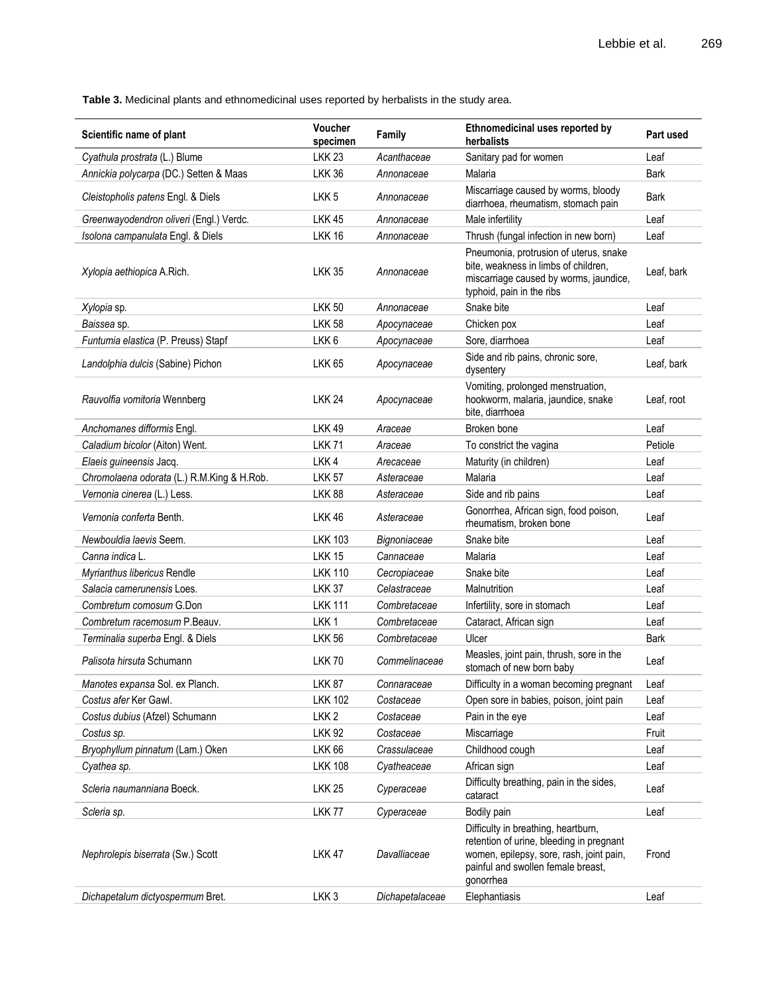**Table 3.** Medicinal plants and ethnomedicinal uses reported by herbalists in the study area.

| Scientific name of plant                   | Voucher<br>specimen | Family          | Ethnomedicinal uses reported by<br>herbalists                                                                                                                                  | Part used   |
|--------------------------------------------|---------------------|-----------------|--------------------------------------------------------------------------------------------------------------------------------------------------------------------------------|-------------|
| Cyathula prostrata (L.) Blume              | <b>LKK 23</b>       | Acanthaceae     | Sanitary pad for women                                                                                                                                                         | Leaf        |
| Annickia polycarpa (DC.) Setten & Maas     | <b>LKK36</b>        | Annonaceae      | Malaria                                                                                                                                                                        | <b>Bark</b> |
| Cleistopholis patens Engl. & Diels         | LKK <sub>5</sub>    | Annonaceae      | Miscarriage caused by worms, bloody<br>diarrhoea, rheumatism, stomach pain                                                                                                     | Bark        |
| Greenwayodendron oliveri (Engl.) Verdc.    | <b>LKK45</b>        | Annonaceae      | Male infertility                                                                                                                                                               | Leaf        |
| Isolona campanulata Engl. & Diels          | <b>LKK16</b>        | Annonaceae      | Thrush (fungal infection in new born)                                                                                                                                          | Leaf        |
| Xylopia aethiopica A.Rich.                 | <b>LKK35</b>        | Annonaceae      | Pneumonia, protrusion of uterus, snake<br>bite, weakness in limbs of children,<br>miscarriage caused by worms, jaundice,<br>typhoid, pain in the ribs                          | Leaf, bark  |
| Xylopia sp.                                | <b>LKK 50</b>       | Annonaceae      | Snake bite                                                                                                                                                                     | Leaf        |
| Baissea sp.                                | <b>LKK 58</b>       | Apocynaceae     | Chicken pox                                                                                                                                                                    | Leaf        |
| Funtumia elastica (P. Preuss) Stapf        | LKK6                | Apocynaceae     | Sore, diarrhoea                                                                                                                                                                | Leaf        |
| Landolphia dulcis (Sabine) Pichon          | <b>LKK 65</b>       | Apocynaceae     | Side and rib pains, chronic sore,<br>dysentery                                                                                                                                 | Leaf, bark  |
| Rauvolfia vomitoria Wennberg               | <b>LKK 24</b>       | Apocynaceae     | Vomiting, prolonged menstruation,<br>hookworm, malaria, jaundice, snake<br>bite, diarrhoea                                                                                     | Leaf, root  |
| Anchomanes difformis Engl.                 | <b>LKK49</b>        | Araceae         | Broken bone                                                                                                                                                                    | Leaf        |
| Caladium bicolor (Aiton) Went.             | <b>LKK71</b>        | Araceae         | To constrict the vagina                                                                                                                                                        | Petiole     |
| Elaeis guineensis Jacq.                    | LKK4                | Arecaceae       | Maturity (in children)                                                                                                                                                         | Leaf        |
| Chromolaena odorata (L.) R.M.King & H.Rob. | <b>LKK 57</b>       | Asteraceae      | Malaria                                                                                                                                                                        | Leaf        |
| Vernonia cinerea (L.) Less.                | <b>LKK88</b>        | Asteraceae      | Side and rib pains                                                                                                                                                             | Leaf        |
| Vernonia conferta Benth.                   | <b>LKK46</b>        | Asteraceae      | Gonorrhea, African sign, food poison,<br>rheumatism, broken bone                                                                                                               | Leaf        |
| Newbouldia laevis Seem.                    | <b>LKK 103</b>      | Bignoniaceae    | Snake bite                                                                                                                                                                     | Leaf        |
| Canna indica L.                            | <b>LKK15</b>        | Cannaceae       | Malaria                                                                                                                                                                        | Leaf        |
| Myrianthus libericus Rendle                | <b>LKK 110</b>      | Cecropiaceae    | Snake bite                                                                                                                                                                     | Leaf        |
| Salacia camerunensis Loes.                 | <b>LKK37</b>        | Celastraceae    | Malnutrition                                                                                                                                                                   | Leaf        |
| Combretum comosum G.Don                    | <b>LKK 111</b>      | Combretaceae    | Infertility, sore in stomach                                                                                                                                                   | Leaf        |
| Combretum racemosum P.Beauv.               | LKK <sub>1</sub>    | Combretaceae    | Cataract, African sign                                                                                                                                                         | Leaf        |
| Terminalia superba Engl. & Diels           | <b>LKK 56</b>       | Combretaceae    | Ulcer                                                                                                                                                                          | Bark        |
| Palisota hirsuta Schumann                  | <b>LKK70</b>        | Commelinaceae   | Measles, joint pain, thrush, sore in the<br>stomach of new born baby                                                                                                           | Leaf        |
| Manotes expansa Sol. ex Planch.            | <b>LKK87</b>        | Connaraceae     | Difficulty in a woman becoming pregnant                                                                                                                                        | Leaf        |
| Costus afer Ker Gawl.                      | <b>LKK 102</b>      | Costaceae       | Open sore in babies, poison, joint pain                                                                                                                                        | Leaf        |
| Costus dubius (Afzel) Schumann             | LKK <sub>2</sub>    | Costaceae       | Pain in the eye                                                                                                                                                                | Leaf        |
| Costus sp.                                 | <b>LKK 92</b>       | Costaceae       | Miscarriage                                                                                                                                                                    | Fruit       |
| Bryophyllum pinnatum (Lam.) Oken           | <b>LKK 66</b>       | Crassulaceae    | Childhood cough                                                                                                                                                                | Leaf        |
| Cyathea sp.                                | <b>LKK 108</b>      | Cyatheaceae     | African sign                                                                                                                                                                   | Leaf        |
| Scleria naumanniana Boeck.                 | <b>LKK 25</b>       | Cyperaceae      | Difficulty breathing, pain in the sides,<br>cataract                                                                                                                           | Leaf        |
| Scleria sp.                                | LKK77               | Cyperaceae      | Bodily pain                                                                                                                                                                    | Leaf        |
| Nephrolepis biserrata (Sw.) Scott          | <b>LKK47</b>        | Davalliaceae    | Difficulty in breathing, heartburn,<br>retention of urine, bleeding in pregnant<br>women, epilepsy, sore, rash, joint pain,<br>painful and swollen female breast,<br>gonorrhea | Frond       |
| Dichapetalum dictyospermum Bret.           | LKK3                | Dichapetalaceae | Elephantiasis                                                                                                                                                                  | Leaf        |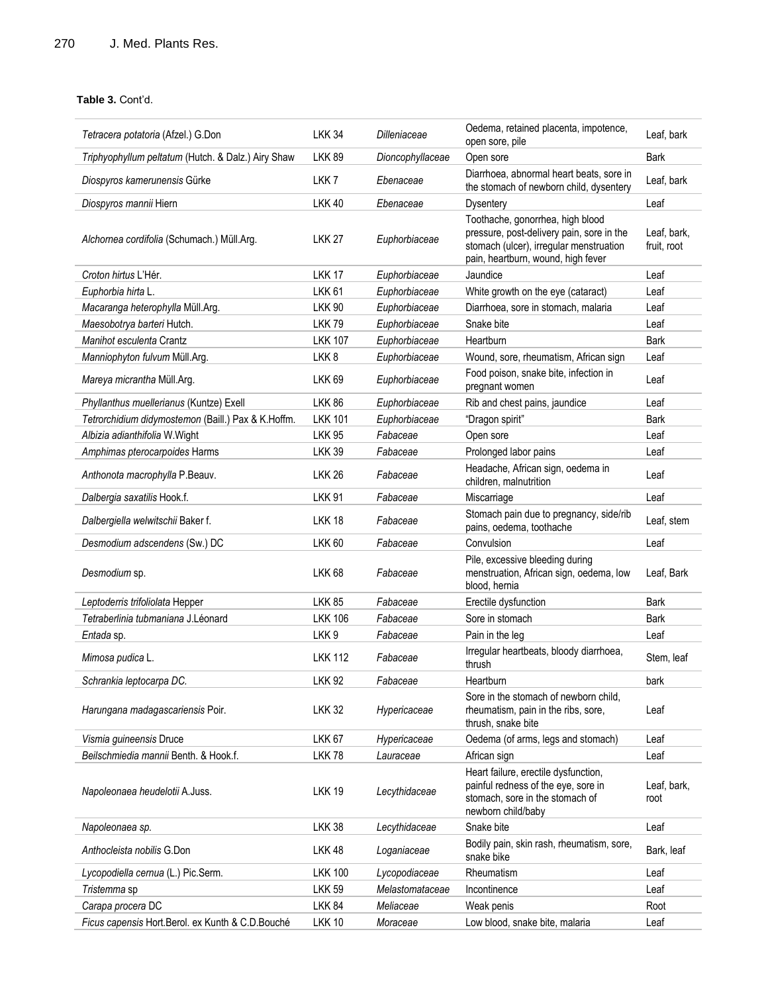## **Table 3.** Cont'd.

| Tetracera potatoria (Afzel.) G.Don                 | <b>LKK34</b>     | Dilleniaceae     | Oedema, retained placenta, impotence,<br>open sore, pile                                                                                                       | Leaf, bark                 |
|----------------------------------------------------|------------------|------------------|----------------------------------------------------------------------------------------------------------------------------------------------------------------|----------------------------|
| Triphyophyllum peltatum (Hutch. & Dalz.) Airy Shaw | <b>LKK89</b>     | Dioncophyllaceae | Open sore                                                                                                                                                      | Bark                       |
| Diospyros kamerunensis Gürke                       | LKK7             | Ebenaceae        | Diarrhoea, abnormal heart beats, sore in<br>the stomach of newborn child, dysentery                                                                            | Leaf, bark                 |
| Diospyros mannii Hiern                             | <b>LKK40</b>     | Ebenaceae        | Dysentery                                                                                                                                                      | Leaf                       |
| Alchornea cordifolia (Schumach.) Müll.Arg.         | <b>LKK 27</b>    | Euphorbiaceae    | Toothache, gonorrhea, high blood<br>pressure, post-delivery pain, sore in the<br>stomach (ulcer), irregular menstruation<br>pain, heartburn, wound, high fever | Leaf, bark,<br>fruit, root |
| Croton hirtus L'Hér.                               | <b>LKK 17</b>    | Euphorbiaceae    | Jaundice                                                                                                                                                       | Leaf                       |
| Euphorbia hirta L.                                 | <b>LKK 61</b>    | Euphorbiaceae    | White growth on the eye (cataract)                                                                                                                             | Leaf                       |
| Macaranga heterophylla Müll.Arg.                   | <b>LKK 90</b>    | Euphorbiaceae    | Diarrhoea, sore in stomach, malaria                                                                                                                            | Leaf                       |
| Maesobotrya barteri Hutch.                         | <b>LKK79</b>     | Euphorbiaceae    | Snake bite                                                                                                                                                     | Leaf                       |
| Manihot esculenta Crantz                           | <b>LKK 107</b>   | Euphorbiaceae    | Heartburn                                                                                                                                                      | Bark                       |
| Manniophyton fulvum Müll.Arg.                      | LKK8             | Euphorbiaceae    | Wound, sore, rheumatism, African sign                                                                                                                          | Leaf                       |
| Mareya micrantha Müll.Arg.                         | <b>LKK69</b>     | Euphorbiaceae    | Food poison, snake bite, infection in<br>pregnant women                                                                                                        | Leaf                       |
| Phyllanthus muellerianus (Kuntze) Exell            | <b>LKK86</b>     | Euphorbiaceae    | Rib and chest pains, jaundice                                                                                                                                  | Leaf                       |
| Tetrorchidium didymostemon (Baill.) Pax & K.Hoffm. | <b>LKK 101</b>   | Euphorbiaceae    | "Dragon spirit"                                                                                                                                                | <b>Bark</b>                |
| Albizia adianthifolia W. Wight                     | <b>LKK 95</b>    | Fabaceae         | Open sore                                                                                                                                                      | Leaf                       |
| Amphimas pterocarpoides Harms                      | <b>LKK39</b>     | Fabaceae         | Prolonged labor pains                                                                                                                                          | Leaf                       |
| Anthonota macrophylla P.Beauv.                     | <b>LKK 26</b>    | Fabaceae         | Headache, African sign, oedema in<br>children, malnutrition                                                                                                    | Leaf                       |
| Dalbergia saxatilis Hook.f.                        | <b>LKK 91</b>    | Fabaceae         | Miscarriage                                                                                                                                                    | Leaf                       |
| Dalbergiella welwitschii Baker f.                  | <b>LKK18</b>     | Fabaceae         | Stomach pain due to pregnancy, side/rib<br>pains, oedema, toothache                                                                                            | Leaf, stem                 |
| Desmodium adscendens (Sw.) DC                      | <b>LKK 60</b>    | Fabaceae         | Convulsion                                                                                                                                                     | Leaf                       |
| Desmodium sp.                                      | <b>LKK68</b>     | Fabaceae         | Pile, excessive bleeding during<br>menstruation, African sign, oedema, low<br>blood, hernia                                                                    | Leaf, Bark                 |
| Leptoderris trifoliolata Hepper                    | <b>LKK85</b>     | Fabaceae         | Erectile dysfunction                                                                                                                                           | <b>Bark</b>                |
| Tetraberlinia tubmaniana J.Léonard                 | <b>LKK 106</b>   | Fabaceae         | Sore in stomach                                                                                                                                                | <b>Bark</b>                |
| Entada sp.                                         | LKK <sub>9</sub> | Fabaceae         | Pain in the leg                                                                                                                                                | Leaf                       |
| Mimosa pudica L.                                   | <b>LKK 112</b>   | Fabaceae         | Irregular heartbeats, bloody diarrhoea,<br>thrush                                                                                                              | Stem, leaf                 |
| Schrankia leptocarpa DC.                           | <b>LKK 92</b>    | Fabaceae         | Heartburn                                                                                                                                                      | bark                       |
| Harungana madagascariensis Poir.                   | <b>LKK32</b>     | Hypericaceae     | Sore in the stomach of newborn child.<br>rheumatism, pain in the ribs, sore,<br>thrush, snake bite                                                             | Leaf                       |
| Vismia guineensis Druce                            | LKK 67           | Hypericaceae     | Oedema (of arms, legs and stomach)                                                                                                                             | Leaf                       |
| Beilschmiedia mannii Benth. & Hook.f.              | <b>LKK78</b>     | Lauraceae        | African sign                                                                                                                                                   | Leaf                       |
| Napoleonaea heudelotii A.Juss.                     | <b>LKK 19</b>    | Lecythidaceae    | Heart failure, erectile dysfunction,<br>painful redness of the eye, sore in<br>stomach, sore in the stomach of<br>newborn child/baby                           | Leaf, bark,<br>root        |
| Napoleonaea sp.                                    | <b>LKK38</b>     | Lecythidaceae    | Snake bite                                                                                                                                                     | Leaf                       |
| Anthocleista nobilis G.Don                         | <b>LKK48</b>     | Loganiaceae      | Bodily pain, skin rash, rheumatism, sore,<br>snake bike                                                                                                        | Bark, leaf                 |
| Lycopodiella cernua (L.) Pic.Serm.                 | <b>LKK 100</b>   | Lycopodiaceae    | Rheumatism                                                                                                                                                     | Leaf                       |
| Tristemma sp                                       | <b>LKK 59</b>    | Melastomataceae  | Incontinence                                                                                                                                                   | Leaf                       |
| Carapa procera DC                                  | <b>LKK84</b>     | Meliaceae        | Weak penis                                                                                                                                                     | Root                       |
| Ficus capensis Hort. Berol. ex Kunth & C.D. Bouché | <b>LKK10</b>     | Moraceae         | Low blood, snake bite, malaria                                                                                                                                 | Leaf                       |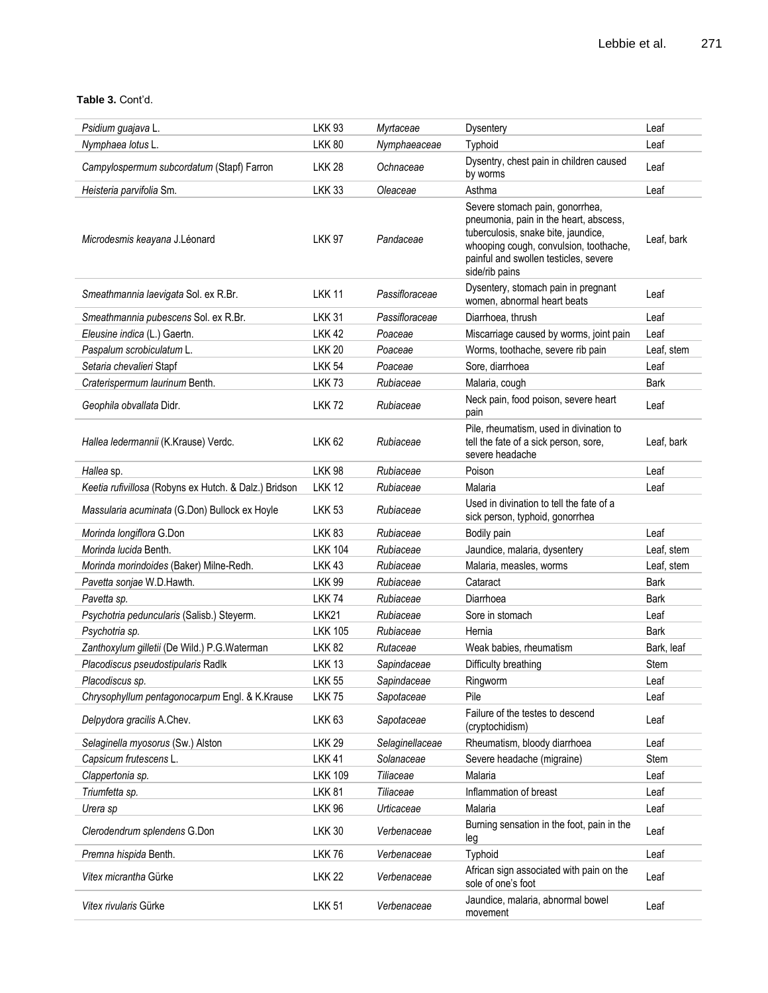## **Table 3.** Cont'd.

| Psidium guajava L.                                    | <b>LKK 93</b>  | Myrtaceae       | <b>Dysentery</b>                                                                                                                                                                                                      | Leaf        |
|-------------------------------------------------------|----------------|-----------------|-----------------------------------------------------------------------------------------------------------------------------------------------------------------------------------------------------------------------|-------------|
| Nymphaea lotus L.                                     | <b>LKK80</b>   | Nymphaeaceae    | Typhoid                                                                                                                                                                                                               | Leaf        |
| Campylospermum subcordatum (Stapf) Farron             | <b>LKK 28</b>  | Ochnaceae       | Dysentry, chest pain in children caused<br>by worms                                                                                                                                                                   | Leaf        |
| Heisteria parvifolia Sm.                              | <b>LKK33</b>   | Oleaceae        | Asthma                                                                                                                                                                                                                | Leaf        |
| Microdesmis keayana J.Léonard                         | <b>LKK 97</b>  | Pandaceae       | Severe stomach pain, gonorrhea,<br>pneumonia, pain in the heart, abscess,<br>tuberculosis, snake bite, jaundice,<br>whooping cough, convulsion, toothache,<br>painful and swollen testicles, severe<br>side/rib pains | Leaf, bark  |
| Smeathmannia laevigata Sol. ex R.Br.                  | <b>LKK 11</b>  | Passifloraceae  | Dysentery, stomach pain in pregnant<br>women, abnormal heart beats                                                                                                                                                    | Leaf        |
| Smeathmannia pubescens Sol. ex R.Br.                  | <b>LKK31</b>   | Passifloraceae  | Diarrhoea, thrush                                                                                                                                                                                                     | Leaf        |
| Eleusine indica (L.) Gaertn.                          | <b>LKK42</b>   | Poaceae         | Miscarriage caused by worms, joint pain                                                                                                                                                                               | Leaf        |
| Paspalum scrobiculatum L.                             | <b>LKK 20</b>  | Poaceae         | Worms, toothache, severe rib pain                                                                                                                                                                                     | Leaf, stem  |
| Setaria chevalieri Stapf                              | <b>LKK 54</b>  | Poaceae         | Sore, diarrhoea                                                                                                                                                                                                       | Leaf        |
| Craterispermum laurinum Benth.                        | <b>LKK73</b>   | Rubiaceae       | Malaria, cough                                                                                                                                                                                                        | Bark        |
| Geophila obvallata Didr.                              | <b>LKK72</b>   | Rubiaceae       | Neck pain, food poison, severe heart<br>pain                                                                                                                                                                          | Leaf        |
| Hallea ledermannii (K.Krause) Verdc.                  | <b>LKK 62</b>  | Rubiaceae       | Pile, rheumatism, used in divination to<br>tell the fate of a sick person, sore,<br>severe headache                                                                                                                   | Leaf, bark  |
| Hallea sp.                                            | <b>LKK 98</b>  | Rubiaceae       | Poison                                                                                                                                                                                                                | Leaf        |
| Keetia rufivillosa (Robyns ex Hutch. & Dalz.) Bridson | <b>LKK12</b>   | Rubiaceae       | Malaria                                                                                                                                                                                                               | Leaf        |
| Massularia acuminata (G.Don) Bullock ex Hoyle         | <b>LKK 53</b>  | Rubiaceae       | Used in divination to tell the fate of a<br>sick person, typhoid, gonorrhea                                                                                                                                           |             |
| Morinda longiflora G.Don                              | <b>LKK83</b>   | Rubiaceae       | Bodily pain                                                                                                                                                                                                           | Leaf        |
| Morinda lucida Benth.                                 | <b>LKK 104</b> | Rubiaceae       | Jaundice, malaria, dysentery                                                                                                                                                                                          | Leaf, stem  |
| Morinda morindoides (Baker) Milne-Redh.               | <b>LKK43</b>   | Rubiaceae       | Malaria, measles, worms                                                                                                                                                                                               | Leaf, stem  |
| Pavetta sonjae W.D.Hawth.                             | <b>LKK 99</b>  | Rubiaceae       | Cataract                                                                                                                                                                                                              | Bark        |
| Pavetta sp.                                           | <b>LKK74</b>   | Rubiaceae       | Diarrhoea                                                                                                                                                                                                             | <b>Bark</b> |
| Psychotria peduncularis (Salisb.) Steyerm.            | LKK21          | Rubiaceae       | Sore in stomach                                                                                                                                                                                                       | Leaf        |
| Psychotria sp.                                        | <b>LKK 105</b> | Rubiaceae       | Hernia                                                                                                                                                                                                                | Bark        |
| Zanthoxylum gilletii (De Wild.) P.G. Waterman         | <b>LKK82</b>   | Rutaceae        | Weak babies, rheumatism                                                                                                                                                                                               | Bark, leaf  |
| Placodiscus pseudostipularis Radlk                    | <b>LKK13</b>   | Sapindaceae     | Difficulty breathing                                                                                                                                                                                                  | Stem        |
| Placodiscus sp.                                       | <b>LKK 55</b>  | Sapindaceae     | Ringworm                                                                                                                                                                                                              | Leaf        |
| Chrysophyllum pentagonocarpum Engl. & K.Krause        | <b>LKK75</b>   | Sapotaceae      | Pile                                                                                                                                                                                                                  | Leaf        |
| Delpydora gracilis A.Chev.                            | <b>LKK63</b>   | Sapotaceae      | Failure of the testes to descend<br>(cryptochidism)                                                                                                                                                                   | Leaf        |
| Selaginella myosorus (Sw.) Alston                     | <b>LKK 29</b>  | Selaginellaceae | Rheumatism, bloody diarrhoea                                                                                                                                                                                          | Leaf        |
| Capsicum frutescens L.                                | <b>LKK41</b>   | Solanaceae      | Severe headache (migraine)                                                                                                                                                                                            | Stem        |
| Clappertonia sp.                                      | <b>LKK 109</b> | Tiliaceae       | Malaria                                                                                                                                                                                                               | Leaf        |
| Triumfetta sp.                                        | <b>LKK81</b>   | Tiliaceae       | Inflammation of breast                                                                                                                                                                                                | Leaf        |
| Urera sp                                              | <b>LKK 96</b>  | Urticaceae      | Malaria                                                                                                                                                                                                               | Leaf        |
| Clerodendrum splendens G.Don                          | <b>LKK30</b>   | Verbenaceae     | Burning sensation in the foot, pain in the<br>leg                                                                                                                                                                     | Leaf        |
| Premna hispida Benth.                                 | <b>LKK76</b>   | Verbenaceae     | Typhoid                                                                                                                                                                                                               | Leaf        |
| Vitex micrantha Gürke                                 | <b>LKK 22</b>  | Verbenaceae     | African sign associated with pain on the<br>sole of one's foot                                                                                                                                                        | Leaf        |
| Vitex rivularis Gürke                                 | <b>LKK 51</b>  | Verbenaceae     | Jaundice, malaria, abnormal bowel<br>movement                                                                                                                                                                         | Leaf        |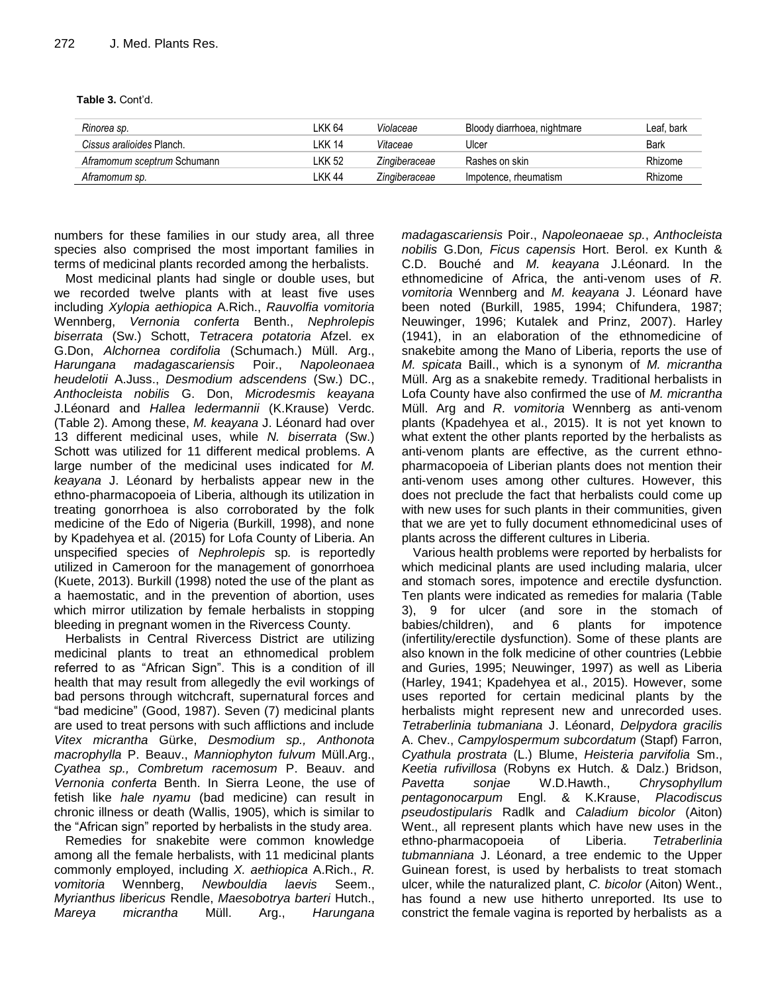**Table 3.** Cont'd.

| Rinorea sp.                 | LKK 64  | Violaceae     | Bloody diarrhoea, nightmare | Leaf, bark |
|-----------------------------|---------|---------------|-----------------------------|------------|
| Cissus aralioides Planch.   | I KK 14 | Vitaceae      | Ulcer                       | Bark       |
| Aframomum sceptrum Schumann | LKK 52  | Zingiberaceae | Rashes on skin              | Rhizome    |
| Aframomum sp.               | LKK 44  | Zingiberaceae | Impotence, rheumatism       | Rhizome    |

numbers for these families in our study area, all three species also comprised the most important families in terms of medicinal plants recorded among the herbalists.

Most medicinal plants had single or double uses, but we recorded twelve plants with at least five uses including *Xylopia aethiopica* A.Rich., *Rauvolfia vomitoria*  Wennberg, *Vernonia conferta* Benth., *Nephrolepis biserrata* (Sw.) Schott, *Tetracera potatoria* Afzel. ex G.Don, *Alchornea cordifolia* (Schumach.) Müll. Arg., *Harungana madagascariensis* Poir., *Napoleonaea heudelotii* A.Juss., *Desmodium adscendens* (Sw.) DC., *Anthocleista nobilis* G. Don, *Microdesmis keayana*  J.Léonard and *Hallea ledermannii* (K.Krause) Verdc. (Table 2). Among these, *M. keayana* J. Léonard had over 13 different medicinal uses, while *N. biserrata* (Sw.) Schott was utilized for 11 different medical problems. A large number of the medicinal uses indicated for *M. keayana* J. Léonard by herbalists appear new in the ethno-pharmacopoeia of Liberia, although its utilization in treating gonorrhoea is also corroborated by the folk medicine of the Edo of Nigeria (Burkill, 1998), and none by Kpadehyea et al. (2015) for Lofa County of Liberia. An unspecified species of *Nephrolepis* sp*.* is reportedly utilized in Cameroon for the management of gonorrhoea (Kuete, 2013). Burkill (1998) noted the use of the plant as a haemostatic, and in the prevention of abortion, uses which mirror utilization by female herbalists in stopping bleeding in pregnant women in the Rivercess County.

Herbalists in Central Rivercess District are utilizing medicinal plants to treat an ethnomedical problem referred to as "African Sign". This is a condition of ill health that may result from allegedly the evil workings of bad persons through witchcraft, supernatural forces and "bad medicine" (Good, 1987). Seven (7) medicinal plants are used to treat persons with such afflictions and include *Vitex micrantha* Gürke, *Desmodium sp., Anthonota macrophylla* P. Beauv., *Manniophyton fulvum* Müll.Arg., *Cyathea sp., Combretum racemosum* P. Beauv. and *Vernonia conferta* Benth. In Sierra Leone, the use of fetish like *hale nyamu* (bad medicine) can result in chronic illness or death (Wallis, 1905), which is similar to the "African sign" reported by herbalists in the study area.

Remedies for snakebite were common knowledge among all the female herbalists, with 11 medicinal plants commonly employed, including *X. aethiopica* A.Rich., *R. vomitoria* Wennberg, *Newbouldia laevis* Seem., *Myrianthus libericus* Rendle, *Maesobotrya barteri* Hutch., *Mareya micrantha* Müll. Arg., *Harungana*  *madagascariensis* Poir., *Napoleonaeae sp.*, *Anthocleista nobilis* G.Don*, Ficus capensis* Hort. Berol. ex Kunth & C.D. Bouché and *M. keayana* J.Léonard*.* In the ethnomedicine of Africa, the anti-venom uses of *R. vomitoria* Wennberg and *M. keayana* J. Léonard have been noted (Burkill, 1985, 1994; Chifundera, 1987; Neuwinger, 1996; Kutalek and Prinz, 2007). Harley (1941), in an elaboration of the ethnomedicine of snakebite among the Mano of Liberia, reports the use of *M. spicata* Baill., which is a synonym of *M. micrantha*  Müll. Arg as a snakebite remedy. Traditional herbalists in Lofa County have also confirmed the use of *M. micrantha*  Müll. Arg and *R. vomitoria* Wennberg as anti-venom plants (Kpadehyea et al., 2015). It is not yet known to what extent the other plants reported by the herbalists as anti-venom plants are effective, as the current ethnopharmacopoeia of Liberian plants does not mention their anti-venom uses among other cultures. However, this does not preclude the fact that herbalists could come up with new uses for such plants in their communities, given that we are yet to fully document ethnomedicinal uses of plants across the different cultures in Liberia.

Various health problems were reported by herbalists for which medicinal plants are used including malaria, ulcer and stomach sores, impotence and erectile dysfunction. Ten plants were indicated as remedies for malaria (Table 3), 9 for ulcer (and sore in the stomach of babies/children), and 6 plants for impotence (infertility/erectile dysfunction). Some of these plants are also known in the folk medicine of other countries (Lebbie and Guries, 1995; Neuwinger, 1997) as well as Liberia (Harley, 1941; Kpadehyea et al., 2015). However, some uses reported for certain medicinal plants by the herbalists might represent new and unrecorded uses. *Tetraberlinia tubmaniana* J. Léonard, *Delpydora gracilis*  A. Chev., *Campylospermum subcordatum* (Stapf) Farron, *Cyathula prostrata* (L.) Blume, *Heisteria parvifolia* Sm., *Keetia rufivillosa* (Robyns ex Hutch. & Dalz.) Bridson, *Pavetta sonjae* W.D.Hawth., *Chrysophyllum pentagonocarpum* Engl. & K.Krause, *Placodiscus pseudostipularis* Radlk and *Caladium bicolor* (Aiton) Went., all represent plants which have new uses in the ethno-pharmacopoeia of Liberia. *Tetraberlinia tubmanniana* J. Léonard, a tree endemic to the Upper Guinean forest, is used by herbalists to treat stomach ulcer, while the naturalized plant, *C. bicolor* (Aiton) Went., has found a new use hitherto unreported. Its use to constrict the female vagina is reported by herbalists as a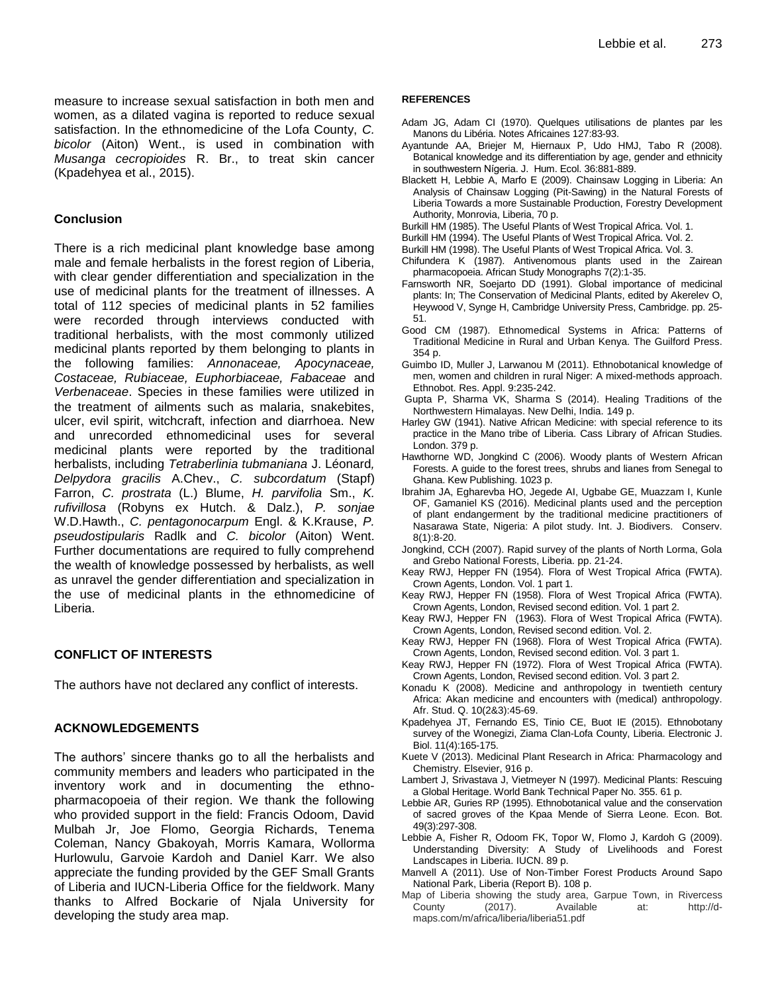measure to increase sexual satisfaction in both men and women, as a dilated vagina is reported to reduce sexual satisfaction. In the ethnomedicine of the Lofa County, *C. bicolor* (Aiton) Went., is used in combination with *Musanga cecropioides* R. Br., to treat skin cancer (Kpadehyea et al., 2015).

#### **Conclusion**

There is a rich medicinal plant knowledge base among male and female herbalists in the forest region of Liberia, with clear gender differentiation and specialization in the use of medicinal plants for the treatment of illnesses. A total of 112 species of medicinal plants in 52 families were recorded through interviews conducted with traditional herbalists, with the most commonly utilized medicinal plants reported by them belonging to plants in the following families: *Annonaceae, Apocynaceae, Costaceae, Rubiaceae, Euphorbiaceae, Fabaceae* and *Verbenaceae*. Species in these families were utilized in the treatment of ailments such as malaria, snakebites, ulcer, evil spirit, witchcraft, infection and diarrhoea. New and unrecorded ethnomedicinal uses for several medicinal plants were reported by the traditional herbalists, including *Tetraberlinia tubmaniana* J. Léonard*, Delpydora gracilis* A.Chev., *C. subcordatum* (Stapf) Farron, *C. prostrata* (L.) Blume, *H. parvifolia* Sm., *K. rufivillosa* (Robyns ex Hutch. & Dalz.), *P. sonjae*  W.D.Hawth., *C. pentagonocarpum* Engl. & K.Krause, *P. pseudostipularis* Radlk and *C. bicolor* (Aiton) Went. Further documentations are required to fully comprehend the wealth of knowledge possessed by herbalists, as well as unravel the gender differentiation and specialization in the use of medicinal plants in the ethnomedicine of Liberia.

#### **CONFLICT OF INTERESTS**

The authors have not declared any conflict of interests.

#### **ACKNOWLEDGEMENTS**

The authors' sincere thanks go to all the herbalists and community members and leaders who participated in the inventory work and in documenting the ethnopharmacopoeia of their region. We thank the following who provided support in the field: Francis Odoom, David Mulbah Jr, Joe Flomo, Georgia Richards, Tenema Coleman, Nancy Gbakoyah, Morris Kamara, Wollorma Hurlowulu, Garvoie Kardoh and Daniel Karr. We also appreciate the funding provided by the GEF Small Grants of Liberia and IUCN-Liberia Office for the fieldwork. Many thanks to Alfred Bockarie of Njala University for developing the study area map.

#### **REFERENCES**

- Adam JG, Adam CI (1970). Quelques utilisations de plantes par les Manons du Libéria. Notes Africaines 127:83-93.
- Ayantunde AA, Briejer M, Hiernaux P, Udo HMJ, Tabo R (2008). Botanical knowledge and its differentiation by age, gender and ethnicity in southwestern Nígeria. J. Hum. Ecol. 36:881-889.
- Blackett H, Lebbie A, Marfo E (2009). Chainsaw Logging in Liberia: An Analysis of Chainsaw Logging (Pit-Sawing) in the Natural Forests of Liberia Towards a more Sustainable Production, Forestry Development Authority, Monrovia, Liberia, 70 p.
- Burkill HM (1985). The Useful Plants of West Tropical Africa. Vol. 1.
- Burkill HM (1994). The Useful Plants of West Tropical Africa. Vol. 2.
- Burkill HM (1998). The Useful Plants of West Tropical Africa. Vol. 3.
- Chifundera K (1987). Antivenomous plants used in the Zairean pharmacopoeia. African Study Monographs 7(2):1-35.
- Farnsworth NR, Soejarto DD (1991). Global importance of medicinal plants: In; The Conservation of Medicinal Plant*s*, edited by Akerelev O, Heywood V, Synge H, Cambridge University Press, Cambridge. pp. 25- 51.
- Good CM (1987). Ethnomedical Systems in Africa: Patterns of Traditional Medicine in Rural and Urban Kenya. The Guilford Press. 354 p.
- Guimbo ID, Muller J, Larwanou M (2011). Ethnobotanical knowledge of men, women and children in rural Niger: A mixed-methods approach. Ethnobot. Res. Appl. 9:235-242.
- Gupta P, Sharma VK, Sharma S (2014). Healing Traditions of the Northwestern Himalayas. New Delhi, India. 149 p.
- Harley GW (1941). Native African Medicine: with special reference to its practice in the Mano tribe of Liberia. Cass Library of African Studies. London. 379 p.
- Hawthorne WD, Jongkind C (2006). Woody plants of Western African Forests. A guide to the forest trees, shrubs and lianes from Senegal to Ghana. Kew Publishing. 1023 p.
- Ibrahim JA, Egharevba HO, Jegede AI, Ugbabe GE, Muazzam I, Kunle OF, Gamaniel KS (2016). Medicinal plants used and the perception of plant endangerment by the traditional medicine practitioners of Nasarawa State, Nigeria: A pilot study. Int. J. Biodivers. Conserv. 8(1):8-20.
- Jongkind, CCH (2007). Rapid survey of the plants of North Lorma, Gola and Grebo National Forests, Liberia. pp. 21-24.
- Keay RWJ, Hepper FN (1954). Flora of West Tropical Africa (FWTA). Crown Agents, London. Vol. 1 part 1.
- Keay RWJ, Hepper FN (1958). Flora of West Tropical Africa (FWTA). Crown Agents, London, Revised second edition. Vol. 1 part 2.
- Keay RWJ, Hepper FN (1963). Flora of West Tropical Africa (FWTA). Crown Agents, London, Revised second edition. Vol. 2.
- Keay RWJ, Hepper FN (1968). Flora of West Tropical Africa (FWTA). Crown Agents, London, Revised second edition. Vol. 3 part 1.
- Keay RWJ, Hepper FN (1972). Flora of West Tropical Africa (FWTA). Crown Agents, London, Revised second edition. Vol. 3 part 2.
- Konadu K (2008). Medicine and anthropology in twentieth century Africa: Akan medicine and encounters with (medical) anthropology. Afr. Stud. Q. 10(2&3):45-69.
- Kpadehyea JT, Fernando ES, Tinio CE, Buot IE (2015). Ethnobotany survey of the Wonegizi, Ziama Clan-Lofa County, Liberia. Electronic J. Biol. 11(4):165-175.
- Kuete V (2013). Medicinal Plant Research in Africa: Pharmacology and Chemistry. Elsevier, 916 p.
- Lambert J, Srivastava J, Vietmeyer N (1997). Medicinal Plants: Rescuing a Global Heritage. World Bank Technical Paper No. 355. 61 p.
- Lebbie AR, Guries RP (1995). Ethnobotanical value and the conservation of sacred groves of the Kpaa Mende of Sierra Leone. Econ. Bot. 49(3):297-308.
- Lebbie A, Fisher R, Odoom FK, Topor W, Flomo J, Kardoh G (2009). Understanding Diversity: A Study of Livelihoods and Forest Landscapes in Liberia. IUCN. 89 p.
- Manvell A (2011). Use of Non-Timber Forest Products Around Sapo National Park, Liberia (Report B). 108 p.
- Map of Liberia showing the study area, Garpue Town, in Rivercess County (2017). Available at: http://dmaps.com/m/africa/liberia/liberia51.pdf